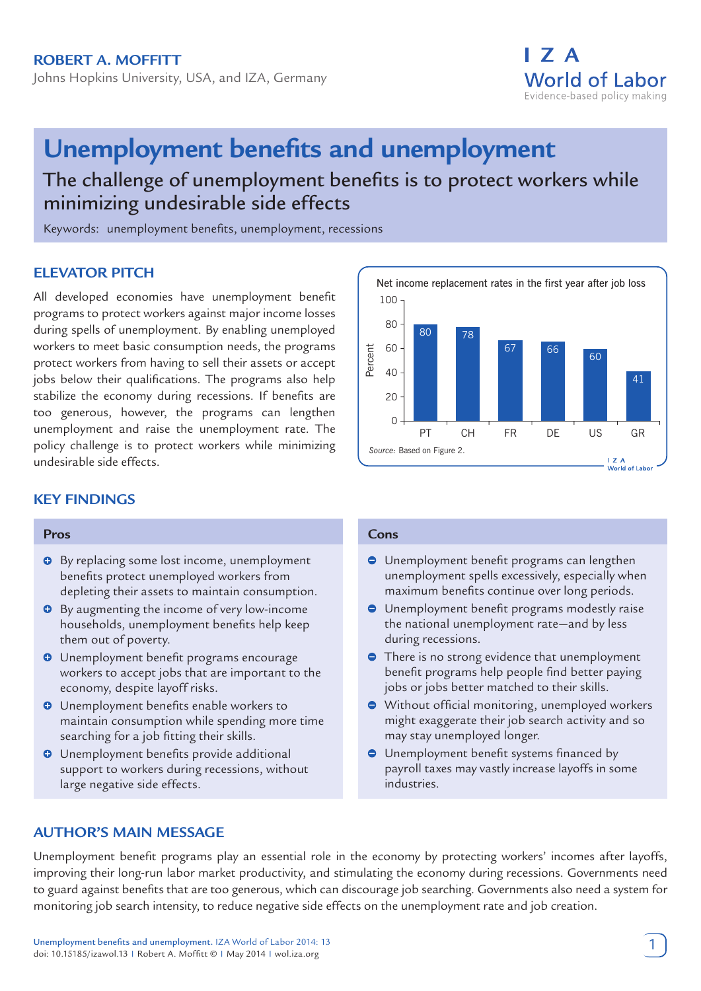Johns Hopkins University, USA, and IZA, Germany



# **Unemployment benefits and unemployment**

The challenge of unemployment benefits is to protect workers while minimizing undesirable side effects

Keywords: unemployment benefits, unemployment, recessions

# **ELEVATOR PITCH**

All developed economies have unemployment benefit programs to protect workers against major income losses during spells of unemployment. By enabling unemployed workers to meet basic consumption needs, the programs protect workers from having to sell their assets or accept jobs below their qualifications. The programs also help stabilize the economy during recessions. If benefits are too generous, however, the programs can lengthen unemployment and raise the unemployment rate. The policy challenge is to protect workers while minimizing undesirable side effects.



#### **Pros**

- $\Theta$  By replacing some lost income, unemployment benefits protect unemployed workers from depleting their assets to maintain consumption.
- **O** By augmenting the income of very low-income households, unemployment benefits help keep them out of poverty.
- **O** Unemployment benefit programs encourage workers to accept jobs that are important to the economy, despite layoff risks.
- $\bullet$  Unemployment benefits enable workers to maintain consumption while spending more time searching for a job fitting their skills.
- **O** Unemployment benefits provide additional support to workers during recessions, without large negative side effects.



#### **Cons**

- **O** Unemployment benefit programs can lengthen unemployment spells excessively, especially when maximum benefits continue over long periods.
- **O** Unemployment benefit programs modestly raise the national unemployment rate—and by less during recessions.
- There is no strong evidence that unemployment benefit programs help people find better paying jobs or jobs better matched to their skills.
- Without official monitoring, unemployed workers might exaggerate their job search activity and so may stay unemployed longer.
- **O** Unemployment benefit systems financed by payroll taxes may vastly increase layoffs in some industries.

# **AUTHOR'S MAIN MESSAGE**

Unemployment benefit programs play an essential role in the economy by protecting workers' incomes after layoffs, improving their long-run labor market productivity, and stimulating the economy during recessions. Governments need to guard against benefits that are too generous, which can discourage job searching. Governments also need a system for monitoring job search intensity, to reduce negative side effects on the unemployment rate and job creation.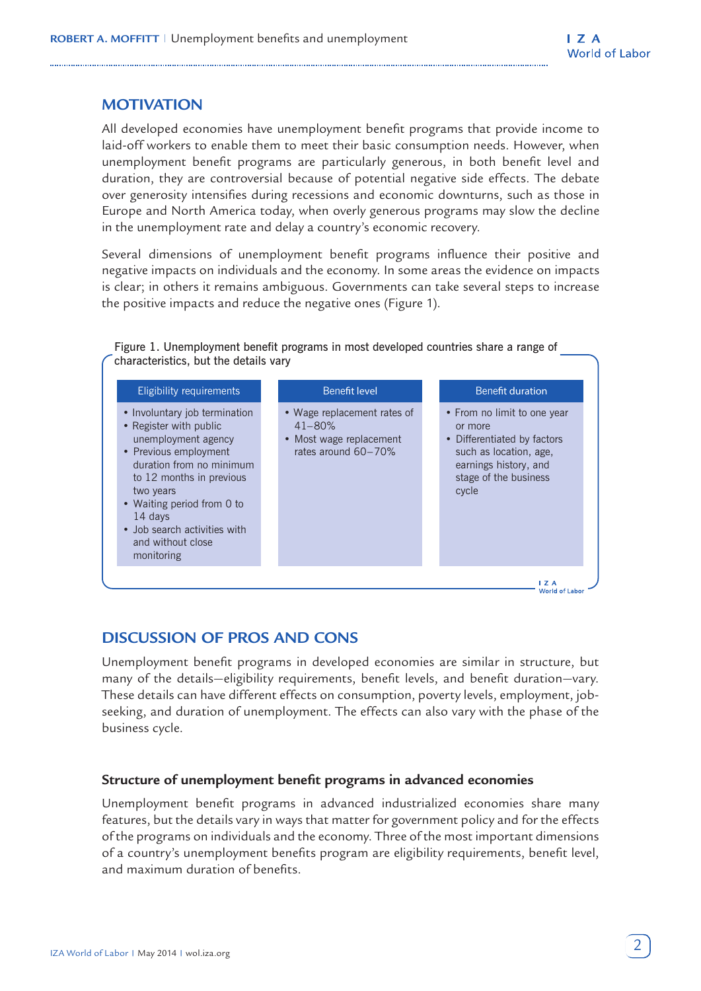# **MOTIVATION**

All developed economies have unemployment benefit programs that provide income to laid-off workers to enable them to meet their basic consumption needs. However, when unemployment benefit programs are particularly generous, in both benefit level and duration, they are controversial because of potential negative side effects. The debate over generosity intensifies during recessions and economic downturns, such as those in Europe and North America today, when overly generous programs may slow the decline in the unemployment rate and delay a country's economic recovery.

Several dimensions of unemployment benefit programs influence their positive and negative impacts on individuals and the economy. In some areas the evidence on impacts is clear; in others it remains ambiguous. Governments can take several steps to increase the positive impacts and reduce the negative ones (Figure 1).

Figure 1. Unemployment benefit programs in most developed countries share a range of characteristics, but the details vary

| • Involuntary job termination<br>• Wage replacement rates of<br>• From no limit to one year<br>• Register with public<br>$41 - 80%$<br>or more<br>unemployment agency<br>• Most wage replacement<br>• Differentiated by factors<br>• Previous employment<br>rates around 60-70%<br>such as location, age,<br>duration from no minimum<br>earnings history, and<br>stage of the business<br>to 12 months in previous |  |
|---------------------------------------------------------------------------------------------------------------------------------------------------------------------------------------------------------------------------------------------------------------------------------------------------------------------------------------------------------------------------------------------------------------------|--|
| cycle<br>two years<br>• Waiting period from 0 to<br>14 days<br>• Job search activities with<br>and without close<br>monitoring                                                                                                                                                                                                                                                                                      |  |

# **DISCUSSION OF PROS AND CONS**

Unemployment benefit programs in developed economies are similar in structure, but many of the details—eligibility requirements, benefit levels, and benefit duration—vary. These details can have different effects on consumption, poverty levels, employment, jobseeking, and duration of unemployment. The effects can also vary with the phase of the business cycle.

# **Structure of unemployment benefit programs in advanced economies**

Unemployment benefit programs in advanced industrialized economies share many features, but the details vary in ways that matter for government policy and for the effects of the programs on individuals and the economy. Three of the most important dimensions of a country's unemployment benefits program are eligibility requirements, benefit level, and maximum duration of benefits.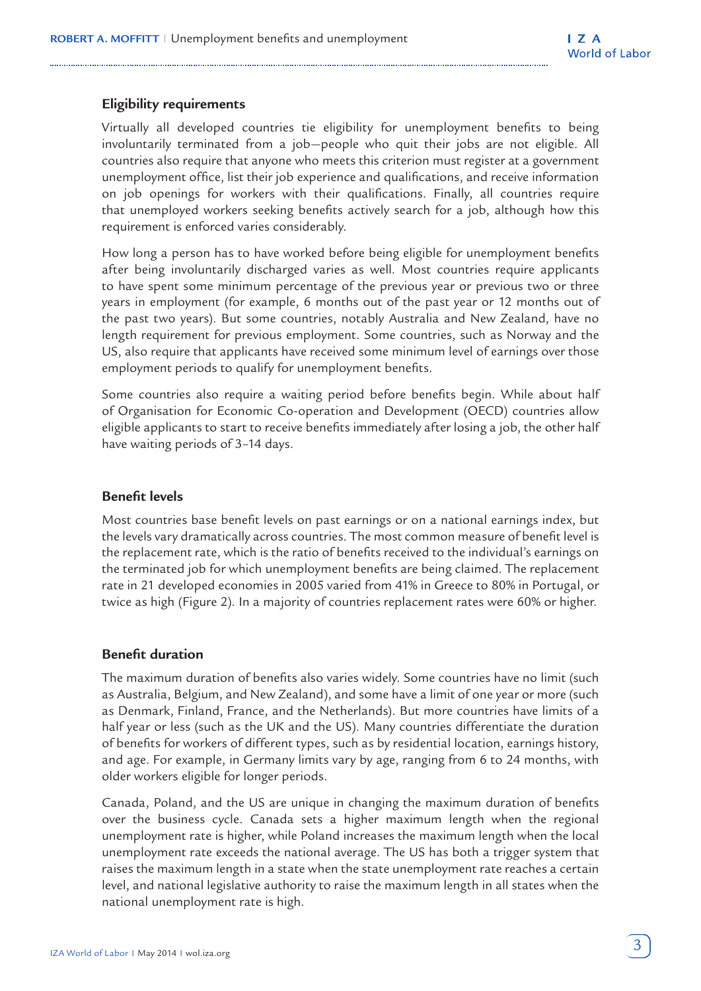# **Eligibility requirements**

Virtually all developed countries tie eligibility for unemployment benefits to being involuntarily terminated from a job—people who quit their jobs are not eligible. All countries also require that anyone who meets this criterion must register at a government unemployment office, list their job experience and qualifications, and receive information on job openings for workers with their qualifications. Finally, all countries require that unemployed workers seeking benefits actively search for a job, although how this requirement is enforced varies considerably.

How long a person has to have worked before being eligible for unemployment benefits after being involuntarily discharged varies as well. Most countries require applicants to have spent some minimum percentage of the previous year or previous two or three years in employment (for example, 6 months out of the past year or 12 months out of the past two years). But some countries, notably Australia and New Zealand, have no length requirement for previous employment. Some countries, such as Norway and the US, also require that applicants have received some minimum level of earnings over those employment periods to qualify for unemployment benefits.

Some countries also require a waiting period before benefits begin. While about half of Organisation for Economic Co-operation and Development (OECD) countries allow eligible applicants to start to receive benefits immediately after losing a job, the other half have waiting periods of 3–14 days.

# **Benefit levels**

Most countries base benefit levels on past earnings or on a national earnings index, but the levels vary dramatically across countries. The most common measure of benefit level is the replacement rate, which is the ratio of benefits received to the individual's earnings on the terminated job for which unemployment benefits are being claimed. The replacement rate in 21 developed economies in 2005 varied from 41% in Greece to 80% in Portugal, or twice as high (Figure 2). In a majority of countries replacement rates were 60% or higher.

#### **Benefit duration**

The maximum duration of benefits also varies widely. Some countries have no limit (such as Australia, Belgium, and New Zealand), and some have a limit of one year or more (such as Denmark, Finland, France, and the Netherlands). But more countries have limits of a half year or less (such as the UK and the US). Many countries differentiate the duration of benefits for workers of different types, such as by residential location, earnings history, and age. For example, in Germany limits vary by age, ranging from 6 to 24 months, with older workers eligible for longer periods.

Canada, Poland, and the US are unique in changing the maximum duration of benefits over the business cycle. Canada sets a higher maximum length when the regional unemployment rate is higher, while Poland increases the maximum length when the local unemployment rate exceeds the national average. The US has both a trigger system that raises the maximum length in a state when the state unemployment rate reaches a certain level, and national legislative authority to raise the maximum length in all states when the national unemployment rate is high.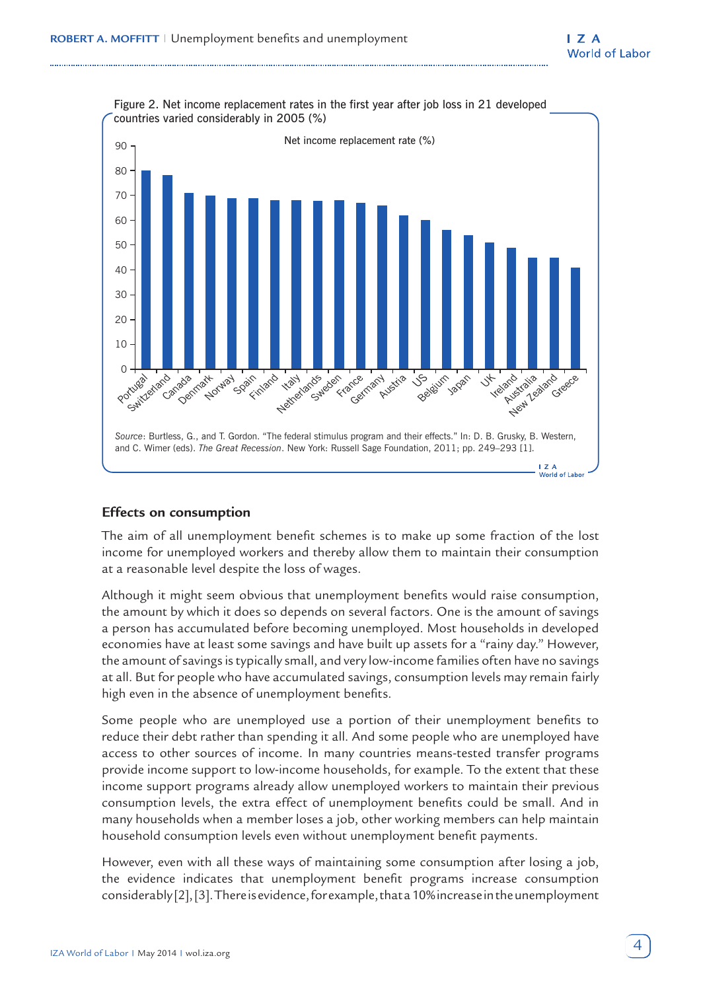

# Figure 2. Net income replacement rates in the first year after job loss in 21 developed

# **Effects on consumption**

The aim of all unemployment benefit schemes is to make up some fraction of the lost income for unemployed workers and thereby allow them to maintain their consumption at a reasonable level despite the loss of wages.

Although it might seem obvious that unemployment benefits would raise consumption, the amount by which it does so depends on several factors. One is the amount of savings a person has accumulated before becoming unemployed. Most households in developed economies have at least some savings and have built up assets for a "rainy day." However, the amount of savings is typically small, and very low-income families often have no savings at all. But for people who have accumulated savings, consumption levels may remain fairly high even in the absence of unemployment benefits.

Some people who are unemployed use a portion of their unemployment benefits to reduce their debt rather than spending it all. And some people who are unemployed have access to other sources of income. In many countries means-tested transfer programs provide income support to low-income households, for example. To the extent that these income support programs already allow unemployed workers to maintain their previous consumption levels, the extra effect of unemployment benefits could be small. And in many households when a member loses a job, other working members can help maintain household consumption levels even without unemployment benefit payments.

However, even with all these ways of maintaining some consumption after losing a job, the evidence indicates that unemployment benefit programs increase consumption considerably [2], [3]. There is evidence, for example, that a 10% increase in the unemployment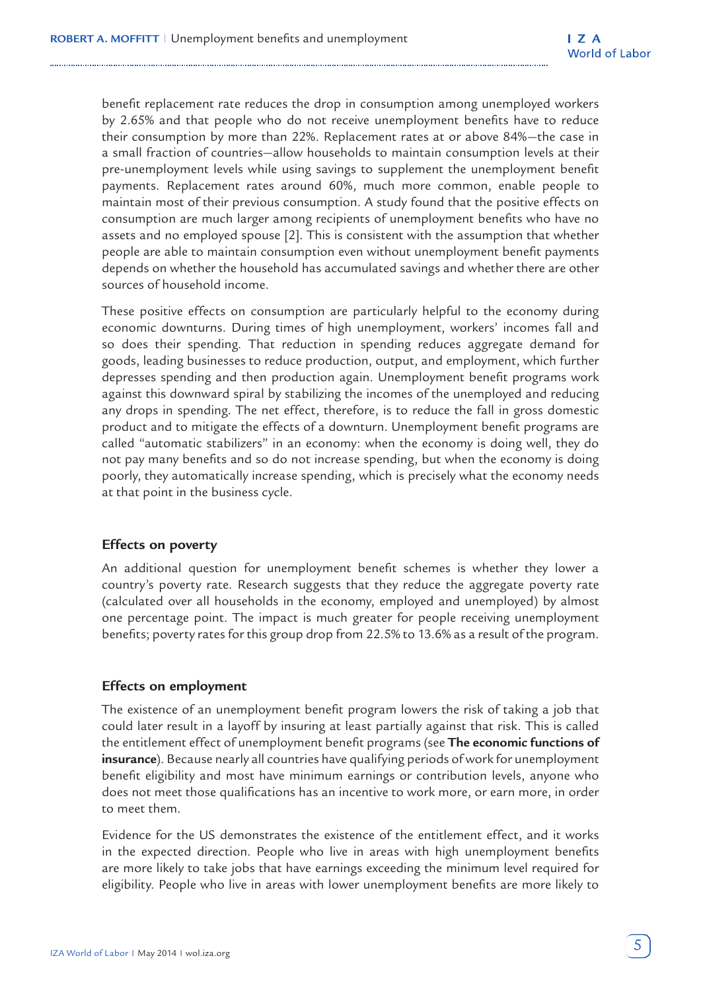benefit replacement rate reduces the drop in consumption among unemployed workers by 2.65% and that people who do not receive unemployment benefits have to reduce their consumption by more than 22%. Replacement rates at or above 84%—the case in a small fraction of countries—allow households to maintain consumption levels at their pre-unemployment levels while using savings to supplement the unemployment benefit payments. Replacement rates around 60%, much more common, enable people to maintain most of their previous consumption. A study found that the positive effects on consumption are much larger among recipients of unemployment benefits who have no assets and no employed spouse [2]. This is consistent with the assumption that whether people are able to maintain consumption even without unemployment benefit payments depends on whether the household has accumulated savings and whether there are other sources of household income.

These positive effects on consumption are particularly helpful to the economy during economic downturns. During times of high unemployment, workers' incomes fall and so does their spending. That reduction in spending reduces aggregate demand for goods, leading businesses to reduce production, output, and employment, which further depresses spending and then production again. Unemployment benefit programs work against this downward spiral by stabilizing the incomes of the unemployed and reducing any drops in spending. The net effect, therefore, is to reduce the fall in gross domestic product and to mitigate the effects of a downturn. Unemployment benefit programs are called "automatic stabilizers" in an economy: when the economy is doing well, they do not pay many benefits and so do not increase spending, but when the economy is doing poorly, they automatically increase spending, which is precisely what the economy needs at that point in the business cycle.

#### **Effects on poverty**

An additional question for unemployment benefit schemes is whether they lower a country's poverty rate. Research suggests that they reduce the aggregate poverty rate (calculated over all households in the economy, employed and unemployed) by almost one percentage point. The impact is much greater for people receiving unemployment benefits; poverty rates for this group drop from 22.5% to 13.6% as a result of the program.

# **Effects on employment**

The existence of an unemployment benefit program lowers the risk of taking a job that could later result in a layoff by insuring at least partially against that risk. This is called the entitlement effect of unemployment benefit programs (see **The economic functions of insurance**). Because nearly all countries have qualifying periods of work for unemployment benefit eligibility and most have minimum earnings or contribution levels, anyone who does not meet those qualifications has an incentive to work more, or earn more, in order to meet them.

Evidence for the US demonstrates the existence of the entitlement effect, and it works in the expected direction. People who live in areas with high unemployment benefits are more likely to take jobs that have earnings exceeding the minimum level required for eligibility. People who live in areas with lower unemployment benefits are more likely to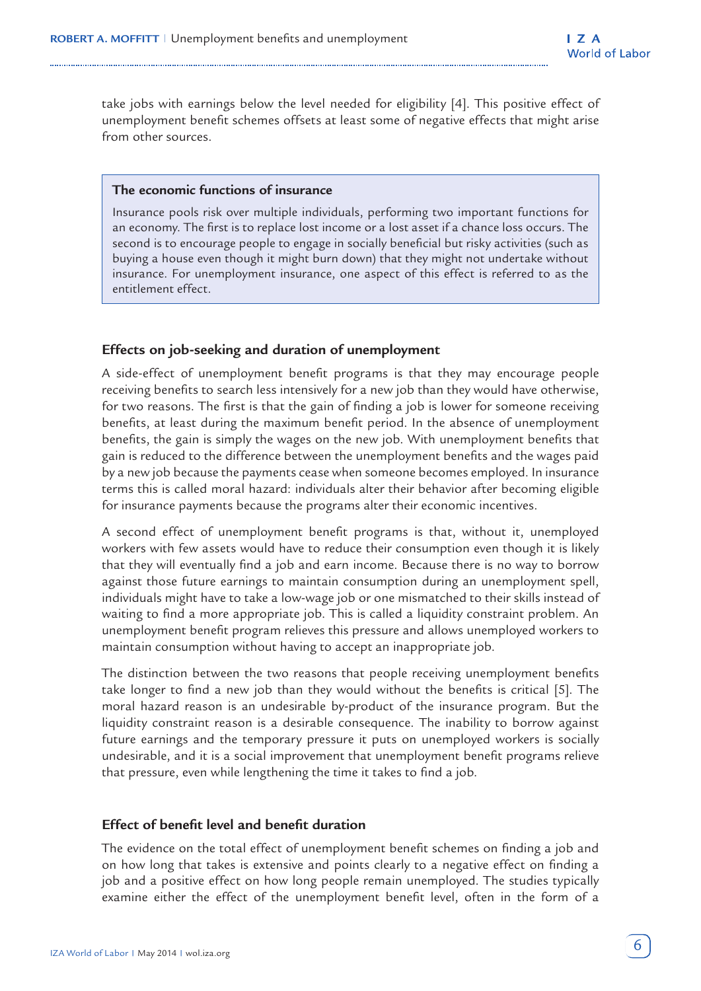take jobs with earnings below the level needed for eligibility [4]. This positive effect of unemployment benefit schemes offsets at least some of negative effects that might arise from other sources.

#### **The economic functions of insurance**

Insurance pools risk over multiple individuals, performing two important functions for an economy. The first is to replace lost income or a lost asset if a chance loss occurs. The second is to encourage people to engage in socially beneficial but risky activities (such as buying a house even though it might burn down) that they might not undertake without insurance. For unemployment insurance, one aspect of this effect is referred to as the entitlement effect.

# **Effects on job-seeking and duration of unemployment**

A side-effect of unemployment benefit programs is that they may encourage people receiving benefits to search less intensively for a new job than they would have otherwise, for two reasons. The first is that the gain of finding a job is lower for someone receiving benefits, at least during the maximum benefit period. In the absence of unemployment benefits, the gain is simply the wages on the new job. With unemployment benefits that gain is reduced to the difference between the unemployment benefits and the wages paid by a new job because the payments cease when someone becomes employed. In insurance terms this is called moral hazard: individuals alter their behavior after becoming eligible for insurance payments because the programs alter their economic incentives.

A second effect of unemployment benefit programs is that, without it, unemployed workers with few assets would have to reduce their consumption even though it is likely that they will eventually find a job and earn income. Because there is no way to borrow against those future earnings to maintain consumption during an unemployment spell, individuals might have to take a low-wage job or one mismatched to their skills instead of waiting to find a more appropriate job. This is called a liquidity constraint problem. An unemployment benefit program relieves this pressure and allows unemployed workers to maintain consumption without having to accept an inappropriate job.

The distinction between the two reasons that people receiving unemployment benefits take longer to find a new job than they would without the benefits is critical [5]. The moral hazard reason is an undesirable by-product of the insurance program. But the liquidity constraint reason is a desirable consequence. The inability to borrow against future earnings and the temporary pressure it puts on unemployed workers is socially undesirable, and it is a social improvement that unemployment benefit programs relieve that pressure, even while lengthening the time it takes to find a job.

### **Effect of benefit level and benefit duration**

The evidence on the total effect of unemployment benefit schemes on finding a job and on how long that takes is extensive and points clearly to a negative effect on finding a job and a positive effect on how long people remain unemployed. The studies typically examine either the effect of the unemployment benefit level, often in the form of a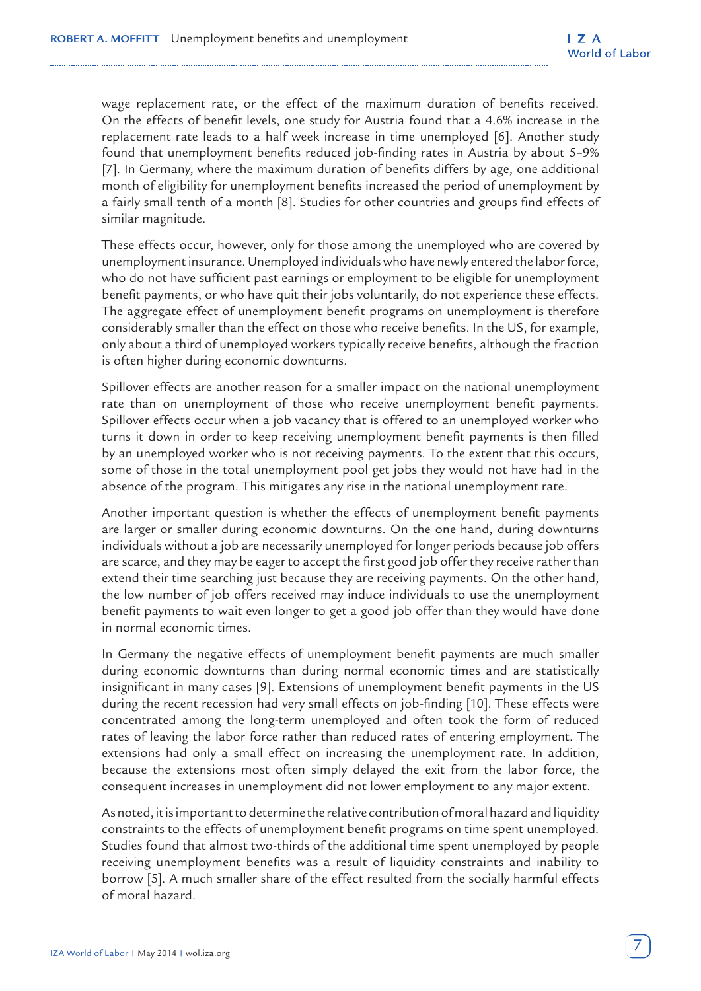wage replacement rate, or the effect of the maximum duration of benefits received. On the effects of benefit levels, one study for Austria found that a 4.6% increase in the replacement rate leads to a half week increase in time unemployed [6]. Another study found that unemployment benefits reduced job-finding rates in Austria by about 5–9% [7]. In Germany, where the maximum duration of benefits differs by age, one additional month of eligibility for unemployment benefits increased the period of unemployment by a fairly small tenth of a month [8]. Studies for other countries and groups find effects of similar magnitude.

These effects occur, however, only for those among the unemployed who are covered by unemployment insurance. Unemployed individuals who have newly entered the labor force, who do not have sufficient past earnings or employment to be eligible for unemployment benefit payments, or who have quit their jobs voluntarily, do not experience these effects. The aggregate effect of unemployment benefit programs on unemployment is therefore considerably smaller than the effect on those who receive benefits. In the US, for example, only about a third of unemployed workers typically receive benefits, although the fraction is often higher during economic downturns.

Spillover effects are another reason for a smaller impact on the national unemployment rate than on unemployment of those who receive unemployment benefit payments. Spillover effects occur when a job vacancy that is offered to an unemployed worker who turns it down in order to keep receiving unemployment benefit payments is then filled by an unemployed worker who is not receiving payments. To the extent that this occurs, some of those in the total unemployment pool get jobs they would not have had in the absence of the program. This mitigates any rise in the national unemployment rate.

Another important question is whether the effects of unemployment benefit payments are larger or smaller during economic downturns. On the one hand, during downturns individuals without a job are necessarily unemployed for longer periods because job offers are scarce, and they may be eager to accept the first good job offer they receive rather than extend their time searching just because they are receiving payments. On the other hand, the low number of job offers received may induce individuals to use the unemployment benefit payments to wait even longer to get a good job offer than they would have done in normal economic times.

In Germany the negative effects of unemployment benefit payments are much smaller during economic downturns than during normal economic times and are statistically insignificant in many cases [9]. Extensions of unemployment benefit payments in the US during the recent recession had very small effects on job-finding [10]. These effects were concentrated among the long-term unemployed and often took the form of reduced rates of leaving the labor force rather than reduced rates of entering employment. The extensions had only a small effect on increasing the unemployment rate. In addition, because the extensions most often simply delayed the exit from the labor force, the consequent increases in unemployment did not lower employment to any major extent.

As noted, it is important to determine the relative contribution of moral hazard and liquidity constraints to the effects of unemployment benefit programs on time spent unemployed. Studies found that almost two-thirds of the additional time spent unemployed by people receiving unemployment benefits was a result of liquidity constraints and inability to borrow [5]. A much smaller share of the effect resulted from the socially harmful effects of moral hazard.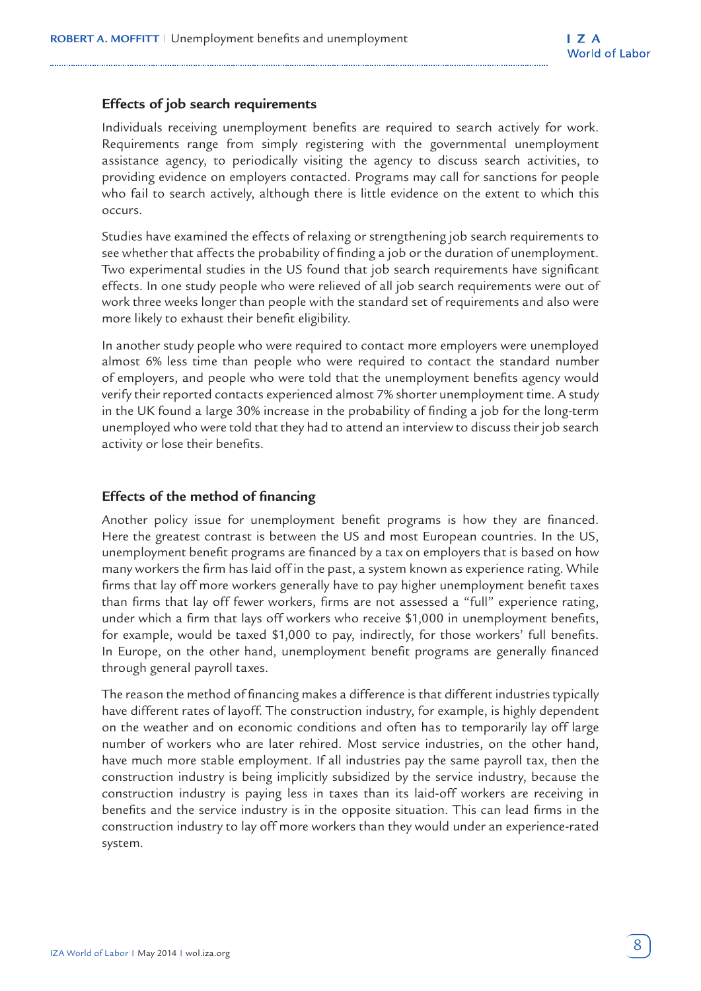### **Effects of job search requirements**

Individuals receiving unemployment benefits are required to search actively for work. Requirements range from simply registering with the governmental unemployment assistance agency, to periodically visiting the agency to discuss search activities, to providing evidence on employers contacted. Programs may call for sanctions for people who fail to search actively, although there is little evidence on the extent to which this occurs.

Studies have examined the effects of relaxing or strengthening job search requirements to see whether that affects the probability of finding a job or the duration of unemployment. Two experimental studies in the US found that job search requirements have significant effects. In one study people who were relieved of all job search requirements were out of work three weeks longer than people with the standard set of requirements and also were more likely to exhaust their benefit eligibility.

In another study people who were required to contact more employers were unemployed almost 6% less time than people who were required to contact the standard number of employers, and people who were told that the unemployment benefits agency would verify their reported contacts experienced almost 7% shorter unemployment time. A study in the UK found a large 30% increase in the probability of finding a job for the long-term unemployed who were told that they had to attend an interview to discuss their job search activity or lose their benefits.

#### **Effects of the method of financing**

Another policy issue for unemployment benefit programs is how they are financed. Here the greatest contrast is between the US and most European countries. In the US, unemployment benefit programs are financed by a tax on employers that is based on how many workers the firm has laid off in the past, a system known as experience rating. While firms that lay off more workers generally have to pay higher unemployment benefit taxes than firms that lay off fewer workers, firms are not assessed a "full" experience rating, under which a firm that lays off workers who receive \$1,000 in unemployment benefits, for example, would be taxed \$1,000 to pay, indirectly, for those workers' full benefits. In Europe, on the other hand, unemployment benefit programs are generally financed through general payroll taxes.

The reason the method of financing makes a difference is that different industries typically have different rates of layoff. The construction industry, for example, is highly dependent on the weather and on economic conditions and often has to temporarily lay off large number of workers who are later rehired. Most service industries, on the other hand, have much more stable employment. If all industries pay the same payroll tax, then the construction industry is being implicitly subsidized by the service industry, because the construction industry is paying less in taxes than its laid-off workers are receiving in benefits and the service industry is in the opposite situation. This can lead firms in the construction industry to lay off more workers than they would under an experience-rated system.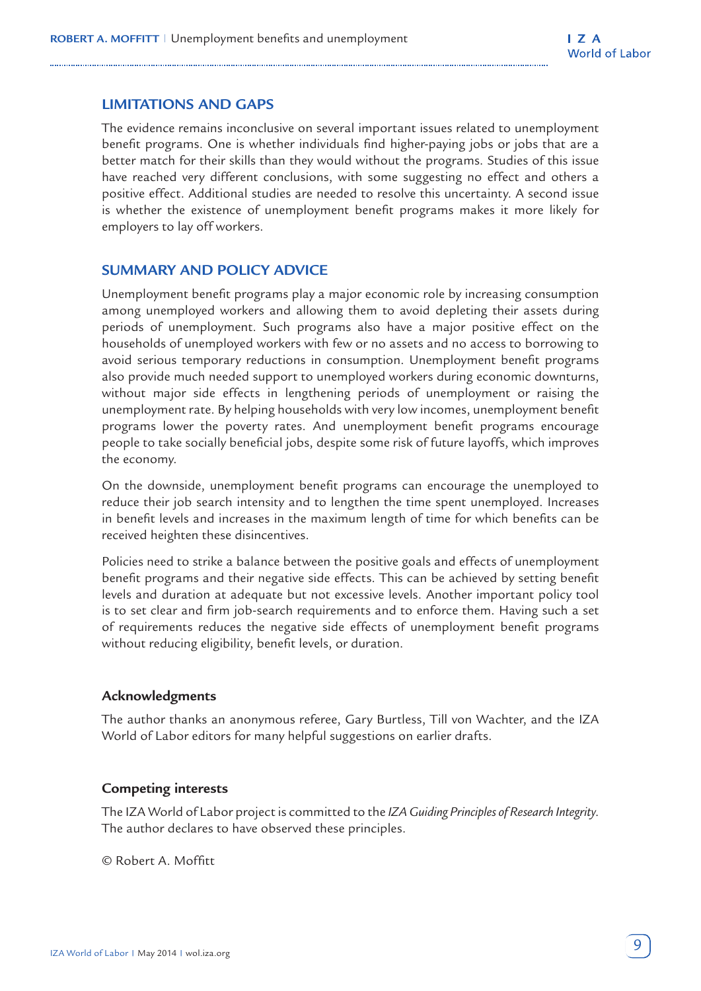# **LIMITATIONS AND GAPS**

The evidence remains inconclusive on several important issues related to unemployment benefit programs. One is whether individuals find higher-paying jobs or jobs that are a better match for their skills than they would without the programs. Studies of this issue have reached very different conclusions, with some suggesting no effect and others a positive effect. Additional studies are needed to resolve this uncertainty. A second issue is whether the existence of unemployment benefit programs makes it more likely for employers to lay off workers.

# **SUMMARY AND POLICY ADVICE**

Unemployment benefit programs play a major economic role by increasing consumption among unemployed workers and allowing them to avoid depleting their assets during periods of unemployment. Such programs also have a major positive effect on the households of unemployed workers with few or no assets and no access to borrowing to avoid serious temporary reductions in consumption. Unemployment benefit programs also provide much needed support to unemployed workers during economic downturns, without major side effects in lengthening periods of unemployment or raising the unemployment rate. By helping households with very low incomes, unemployment benefit programs lower the poverty rates. And unemployment benefit programs encourage people to take socially beneficial jobs, despite some risk of future layoffs, which improves the economy.

On the downside, unemployment benefit programs can encourage the unemployed to reduce their job search intensity and to lengthen the time spent unemployed. Increases in benefit levels and increases in the maximum length of time for which benefits can be received heighten these disincentives.

Policies need to strike a balance between the positive goals and effects of unemployment benefit programs and their negative side effects. This can be achieved by setting benefit levels and duration at adequate but not excessive levels. Another important policy tool is to set clear and firm job-search requirements and to enforce them. Having such a set of requirements reduces the negative side effects of unemployment benefit programs without reducing eligibility, benefit levels, or duration.

# **Acknowledgments**

The author thanks an anonymous referee, Gary Burtless, Till von Wachter, and the IZA World of Labor editors for many helpful suggestions on earlier drafts.

# **Competing interests**

The IZA World of Labor project is committed to the *IZA Guiding Principles of Research Integrity*. The author declares to have observed these principles.

© Robert A. Moffitt